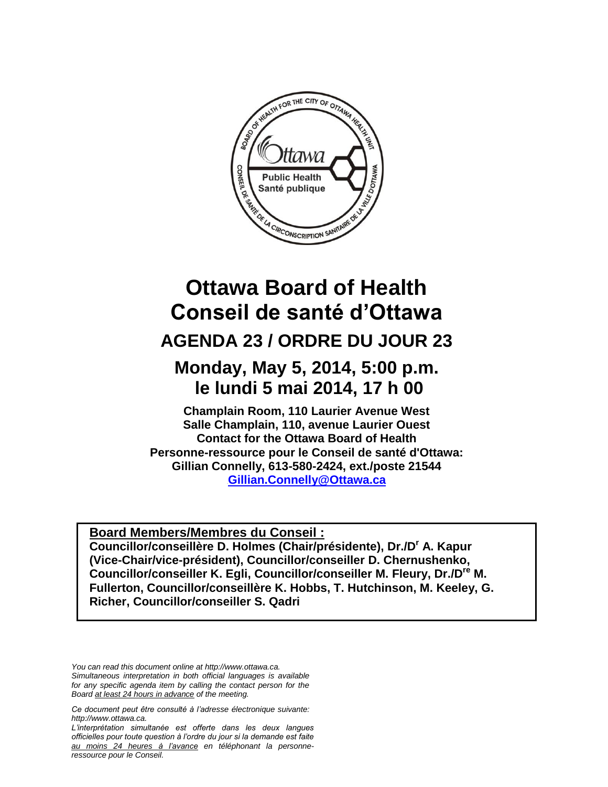

# **Ottawa Board of Health Conseil de santé d'Ottawa**

## **AGENDA 23 / ORDRE DU JOUR 23**

## **Monday, May 5, 2014, 5:00 p.m. le lundi 5 mai 2014, 17 h 00**

**Champlain Room, 110 Laurier Avenue West Salle Champlain, 110, avenue Laurier Ouest Contact for the Ottawa Board of Health Personne-ressource pour le Conseil de santé d'Ottawa: Gillian Connelly, 613-580-2424, ext./poste 21544** <sup>H</sup>**[Gillian.Connelly@Ottawa.ca](mailto:Gillian.Connelly@Ottawa.ca)**

**Board Members/Membres du Conseil : Councillor/conseillère D. Holmes (Chair/présidente), Dr./D<sup>r</sup> A. Kapur (Vice-Chair/vice-président), Councillor/conseiller D. Chernushenko, Councillor/conseiller K. Egli, Councillor/conseiller M. Fleury, Dr./Dre M. Fullerton, Councillor/conseillère K. Hobbs, T. Hutchinson, M. Keeley, G. Richer, Councillor/conseiller S. Qadri**

*You can read this document online at http://www.ottawa.ca. Simultaneous interpretation in both official languages is available for any specific agenda item by calling the contact person for the Board at least 24 hours in advance of the meeting.*

*L'interprétation simultanée est offerte dans les deux langues officielles pour toute question à l'ordre du jour si la demande est faite au moins 24 heures à l'avance en téléphonant la personneressource pour le Conseil.*

*Ce document peut être consulté à l'adresse électronique suivante: http://www.ottawa.ca.*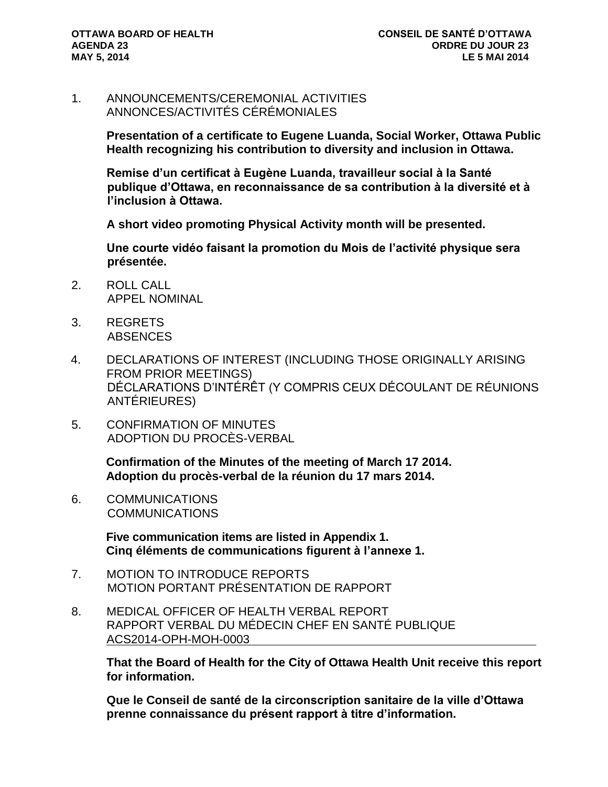1. ANNOUNCEMENTS/CEREMONIAL ACTIVITIES ANNONCES/ACTIVITÉS CÉRÉMONIALES

> **Presentation of a certificate to Eugene Luanda, Social Worker, Ottawa Public Health recognizing his contribution to diversity and inclusion in Ottawa.**

**Remise d'un certificat à Eugène Luanda, travailleur social à la Santé publique d'Ottawa, en reconnaissance de sa contribution à la diversité et à l'inclusion à Ottawa.** 

**A short video promoting Physical Activity month will be presented.**

**Une courte vidéo faisant la promotion du Mois de l'activité physique sera présentée.** 

- 2. ROLL CALL APPEL NOMINAL
- 3. REGRETS ABSENCES
- 4. DECLARATIONS OF INTEREST (INCLUDING THOSE ORIGINALLY ARISING FROM PRIOR MEETINGS) DÉCLARATIONS D'INTÉRÊT (Y COMPRIS CEUX DÉCOULANT DE RÉUNIONS ANTÉRIEURES)
- 5. CONFIRMATION OF MINUTES ADOPTION DU PROCÈS-VERBAL

**Confirmation of the Minutes of the meeting of March 17 2014. Adoption du procès-verbal de la réunion du 17 mars 2014.**

6. COMMUNICATIONS COMMUNICATIONS

> **Five communication items are listed in Appendix 1. Cinq éléments de communications figurent à l'annexe 1.**

- 7. MOTION TO INTRODUCE REPORTS MOTION PORTANT PRÉSENTATION DE RAPPORT
- 8. MEDICAL OFFICER OF HEALTH VERBAL REPORT RAPPORT VERBAL DU MÉDECIN CHEF EN SANTÉ PUBLIQUE ACS2014-OPH-MOH-0003

**That the Board of Health for the City of Ottawa Health Unit receive this report for information.**

**Que le Conseil de santé de la circonscription sanitaire de la ville d'Ottawa prenne connaissance du présent rapport à titre d'information.**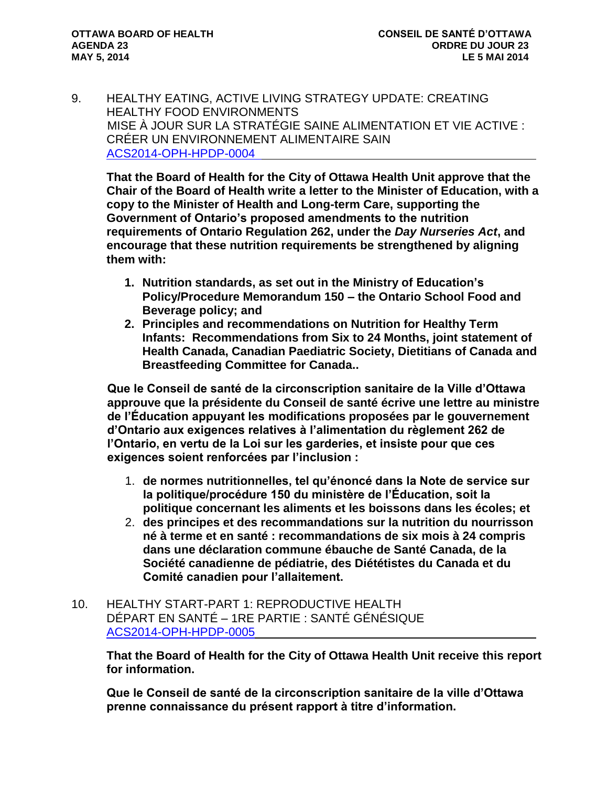9. HEALTHY EATING, ACTIVE LIVING STRATEGY UPDATE: CREATING HEALTHY FOOD ENVIRONMENTS MISE À JOUR SUR LA STRATÉGIE SAINE ALIMENTATION ET VIE ACTIVE : CRÉER UN ENVIRONNEMENT ALIMENTAIRE SAIN [ACS2014-OPH-HPDP-0004](http://ottawa.ca/calendar/ottawa/citycouncil/obh/2014/05-05/HEAL%20Report.pdf) 

**That the Board of Health for the City of Ottawa Health Unit approve that the Chair of the Board of Health write a letter to the Minister of Education, with a copy to the Minister of Health and Long-term Care, supporting the Government of Ontario's proposed amendments to the nutrition requirements of Ontario Regulation 262, under the** *Day Nurseries Act***, and encourage that these nutrition requirements be strengthened by aligning them with:** 

- **1. Nutrition standards, as set out in the Ministry of Education's Policy/Procedure Memorandum 150 – the Ontario School Food and Beverage policy; and**
- **2. Principles and recommendations on Nutrition for Healthy Term Infants: Recommendations from Six to 24 Months, joint statement of Health Canada, Canadian Paediatric Society, Dietitians of Canada and Breastfeeding Committee for Canada..**

**Que le Conseil de santé de la circonscription sanitaire de la Ville d'Ottawa approuve que la présidente du Conseil de santé écrive une lettre au ministre de l'Éducation appuyant les modifications proposées par le gouvernement d'Ontario aux exigences relatives à l'alimentation du règlement 262 de l'Ontario, en vertu de la Loi sur les garderies, et insiste pour que ces exigences soient renforcées par l'inclusion :**

- 1. **de normes nutritionnelles, tel qu'énoncé dans la Note de service sur la politique/procédure 150 du ministère de l'Éducation, soit la politique concernant les aliments et les boissons dans les écoles; et**
- 2. **des principes et des recommandations sur la nutrition du nourrisson né à terme et en santé : recommandations de six mois à 24 compris dans une déclaration commune ébauche de Santé Canada, de la Société canadienne de pédiatrie, des Diététistes du Canada et du Comité canadien pour l'allaitement.**
- 10. HEALTHY START-PART 1: REPRODUCTIVE HEALTH DÉPART EN SANTÉ – 1RE PARTIE : SANTÉ GÉNÉSIQUE [ACS2014-OPH-HPDP-0005](http://ottawa.ca/calendar/ottawa/citycouncil/obh/2014/05-05/Healthy%20Starts%20Report.pdf)

**That the Board of Health for the City of Ottawa Health Unit receive this report for information.**

**Que le Conseil de santé de la circonscription sanitaire de la ville d'Ottawa prenne connaissance du présent rapport à titre d'information.**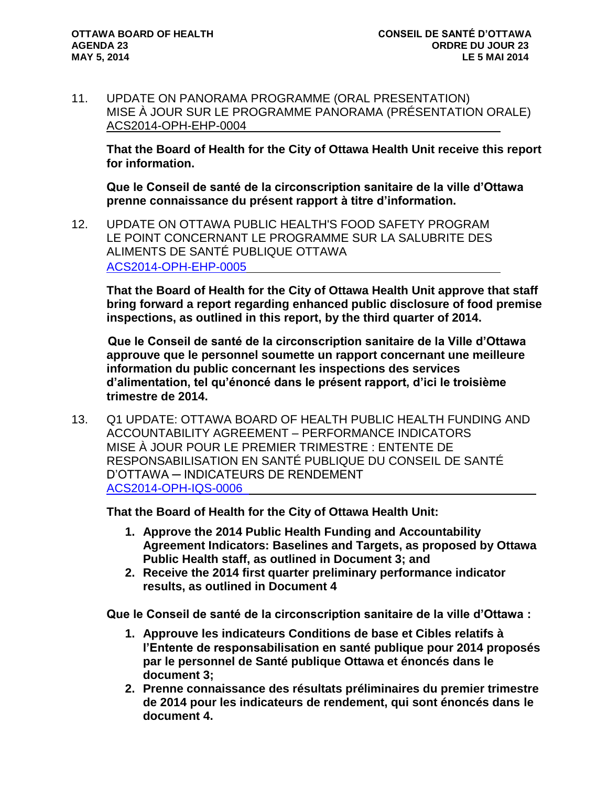11. UPDATE ON PANORAMA PROGRAMME (ORAL PRESENTATION) MISE À JOUR SUR LE PROGRAMME PANORAMA (PRÉSENTATION ORALE) ACS2014-OPH-EHP-0004

**That the Board of Health for the City of Ottawa Health Unit receive this report for information.**

**Que le Conseil de santé de la circonscription sanitaire de la ville d'Ottawa prenne connaissance du présent rapport à titre d'information.**

12. UPDATE ON OTTAWA PUBLIC HEALTH'S FOOD SAFETY PROGRAM LE POINT CONCERNANT LE PROGRAMME SUR LA SALUBRITE DES ALIMENTS DE SANTÉ PUBLIQUE OTTAWA [ACS2014-OPH-EHP-0005](http://ottawa.ca/calendar/ottawa/citycouncil/obh/2014/05-05/Food%20Safety%20Report.pdf)

**That the Board of Health for the City of Ottawa Health Unit approve that staff bring forward a report regarding enhanced public disclosure of food premise inspections, as outlined in this report, by the third quarter of 2014.**

**Que le Conseil de santé de la circonscription sanitaire de la Ville d'Ottawa approuve que le personnel soumette un rapport concernant une meilleure information du public concernant les inspections des services d'alimentation, tel qu'énoncé dans le présent rapport, d'ici le troisième trimestre de 2014.**

13. Q1 UPDATE: OTTAWA BOARD OF HEALTH PUBLIC HEALTH FUNDING AND ACCOUNTABILITY AGREEMENT – PERFORMANCE INDICATORS MISE À JOUR POUR LE PREMIER TRIMESTRE : ENTENTE DE RESPONSABILISATION EN SANTÉ PUBLIQUE DU CONSEIL DE SANTÉ D'OTTAWA ─ INDICATEURS DE RENDEMENT [ACS2014-OPH-IQS-0006](http://ottawa.ca/calendar/ottawa/citycouncil/obh/2014/05-05/Accountability%20Agreement%20Report.pdf) 

**That the Board of Health for the City of Ottawa Health Unit:**

- **1. Approve the 2014 Public Health Funding and Accountability Agreement Indicators: Baselines and Targets, as proposed by Ottawa Public Health staff, as outlined in Document 3; and**
- **2. Receive the 2014 first quarter preliminary performance indicator results, as outlined in Document 4**

**Que le Conseil de santé de la circonscription sanitaire de la ville d'Ottawa :**

- **1. Approuve les indicateurs Conditions de base et Cibles relatifs à l'Entente de responsabilisation en santé publique pour 2014 proposés par le personnel de Santé publique Ottawa et énoncés dans le document 3;**
- **2. Prenne connaissance des résultats préliminaires du premier trimestre de 2014 pour les indicateurs de rendement, qui sont énoncés dans le document 4.**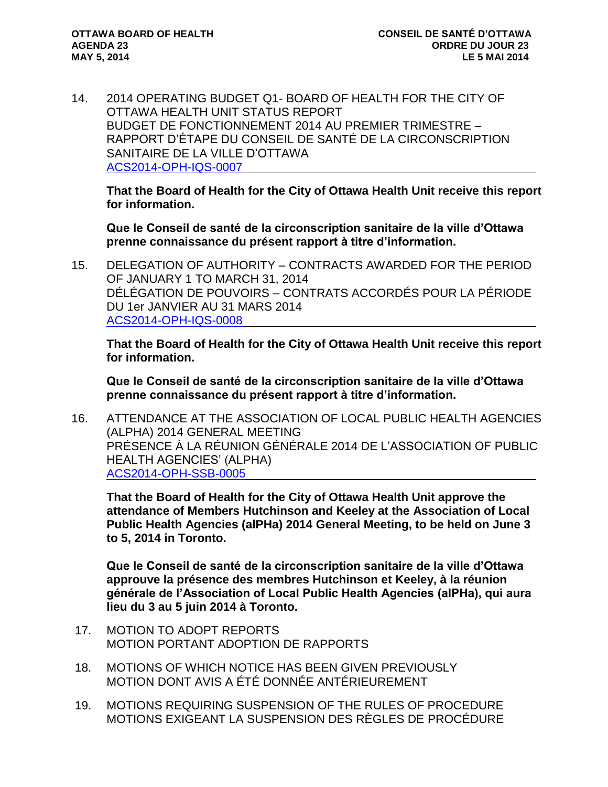14. 2014 OPERATING BUDGET Q1- BOARD OF HEALTH FOR THE CITY OF OTTAWA HEALTH UNIT STATUS REPORT BUDGET DE FONCTIONNEMENT 2014 AU PREMIER TRIMESTRE – RAPPORT D'ÉTAPE DU CONSEIL DE SANTÉ DE LA CIRCONSCRIPTION SANITAIRE DE LA VILLE D'OTTAWA [ACS2014-OPH-IQS-0007](http://ottawa.ca/calendar/ottawa/citycouncil/obh/2014/05-05/Q1%20Budget%20Report.pdf)

**That the Board of Health for the City of Ottawa Health Unit receive this report for information.**

**Que le Conseil de santé de la circonscription sanitaire de la ville d'Ottawa prenne connaissance du présent rapport à titre d'information.**

15. DELEGATION OF AUTHORITY – CONTRACTS AWARDED FOR THE PERIOD OF JANUARY 1 TO MARCH 31, 2014 DÉLÉGATION DE POUVOIRS – CONTRATS ACCORDÉS POUR LA PÉRIODE DU 1er JANVIER AU 31 MARS 2014 [ACS2014-OPH-IQS-0008](http://ottawa.ca/calendar/ottawa/citycouncil/obh/2014/05-05/Delegation%20of%20Authority%20Report.pdf)

**That the Board of Health for the City of Ottawa Health Unit receive this report for information.**

**Que le Conseil de santé de la circonscription sanitaire de la ville d'Ottawa prenne connaissance du présent rapport à titre d'information.**

16. ATTENDANCE AT THE ASSOCIATION OF LOCAL PUBLIC HEALTH AGENCIES (ALPHA) 2014 GENERAL MEETING PRÉSENCE À LA RÉUNION GÉNÉRALE 2014 DE L'ASSOCIATION OF PUBLIC HEALTH AGENCIES' (ALPHA) [ACS2014-OPH-SSB-0005](http://ottawa.ca/calendar/ottawa/citycouncil/obh/2014/05-05/alPHa%20Report.pdf)

**That the Board of Health for the City of Ottawa Health Unit approve the attendance of Members Hutchinson and Keeley at the Association of Local Public Health Agencies (alPHa) 2014 General Meeting, to be held on June 3 to 5, 2014 in Toronto.**

**Que le Conseil de santé de la circonscription sanitaire de la ville d'Ottawa approuve la présence des membres Hutchinson et Keeley, à la réunion générale de l'Association of Local Public Health Agencies (alPHa), qui aura lieu du 3 au 5 juin 2014 à Toronto.**

- 17. MOTION TO ADOPT REPORTS MOTION PORTANT ADOPTION DE RAPPORTS
- 18. MOTIONS OF WHICH NOTICE HAS BEEN GIVEN PREVIOUSLY MOTION DONT AVIS A ÉTÉ DONNÉE ANTÉRIEUREMENT
- 19. MOTIONS REQUIRING SUSPENSION OF THE RULES OF PROCEDURE MOTIONS EXIGEANT LA SUSPENSION DES RÈGLES DE PROCÉDURE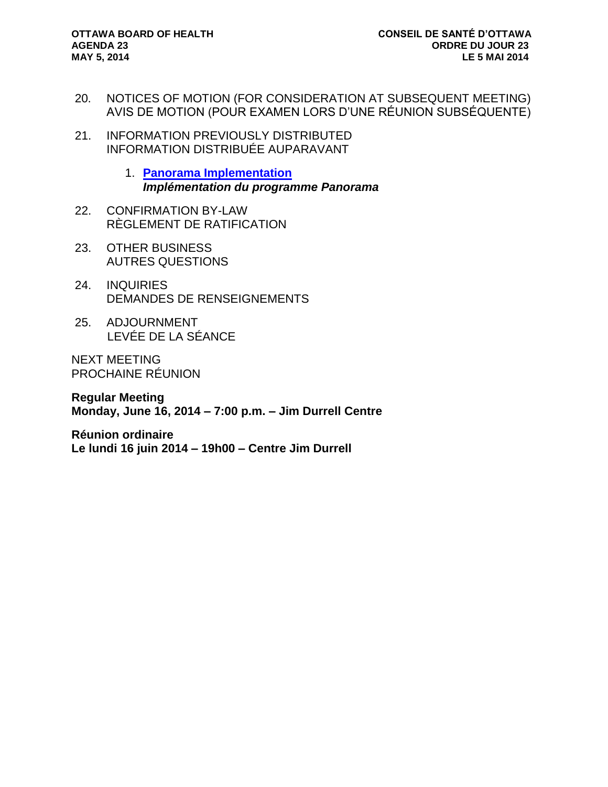- 20. NOTICES OF MOTION (FOR CONSIDERATION AT SUBSEQUENT MEETING) AVIS DE MOTION (POUR EXAMEN LORS D'UNE RÉUNION SUBSÉQUENTE)
- 21. INFORMATION PREVIOUSLY DISTRIBUTED INFORMATION DISTRIBUÉE AUPARAVANT
	- 1. **[Panorama Implementation](http://ottawa.ca/calendar/ottawa/citycouncil/obh/2014/05-05/Memo_Panorama%20_April25.pdf)** *Implémentation du programme Panorama*
- 22. CONFIRMATION BY-LAW RÈGLEMENT DE RATIFICATION
- 23. OTHER BUSINESS AUTRES QUESTIONS
- 24. INQUIRIES DEMANDES DE RENSEIGNEMENTS
- 25. ADJOURNMENT LEVÉE DE LA SÉANCE

NEXT MEETING PROCHAINE RÉUNION

**Regular Meeting Monday, June 16, 2014 – 7:00 p.m. – Jim Durrell Centre**

**Réunion ordinaire Le lundi 16 juin 2014 – 19h00 – Centre Jim Durrell**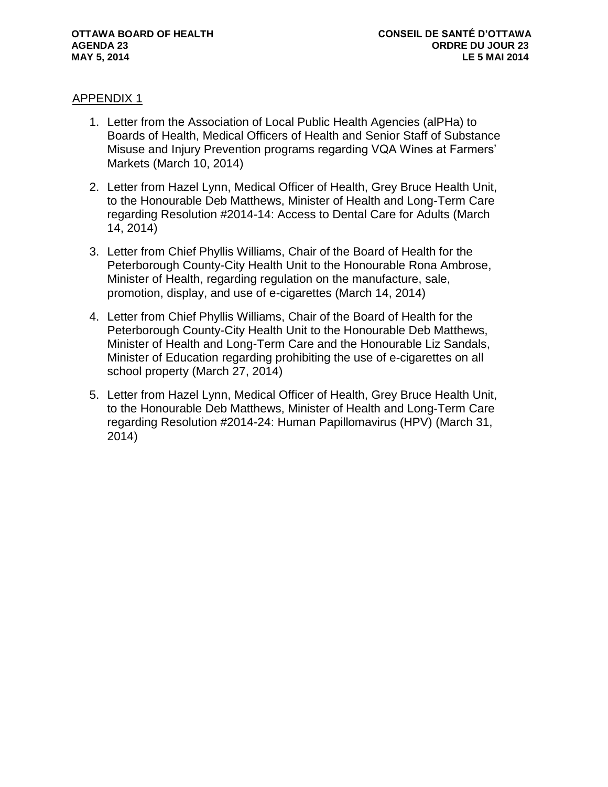#### APPENDIX 1

- 1. Letter from the Association of Local Public Health Agencies (alPHa) to Boards of Health, Medical Officers of Health and Senior Staff of Substance Misuse and Injury Prevention programs regarding VQA Wines at Farmers' Markets (March 10, 2014)
- 2. Letter from Hazel Lynn, Medical Officer of Health, Grey Bruce Health Unit, to the Honourable Deb Matthews, Minister of Health and Long-Term Care regarding Resolution #2014-14: Access to Dental Care for Adults (March 14, 2014)
- 3. Letter from Chief Phyllis Williams, Chair of the Board of Health for the Peterborough County-City Health Unit to the Honourable Rona Ambrose, Minister of Health, regarding regulation on the manufacture, sale, promotion, display, and use of e-cigarettes (March 14, 2014)
- 4. Letter from Chief Phyllis Williams, Chair of the Board of Health for the Peterborough County-City Health Unit to the Honourable Deb Matthews, Minister of Health and Long-Term Care and the Honourable Liz Sandals, Minister of Education regarding prohibiting the use of e-cigarettes on all school property (March 27, 2014)
- 5. Letter from Hazel Lynn, Medical Officer of Health, Grey Bruce Health Unit, to the Honourable Deb Matthews, Minister of Health and Long-Term Care regarding Resolution #2014-24: Human Papillomavirus (HPV) (March 31, 2014)